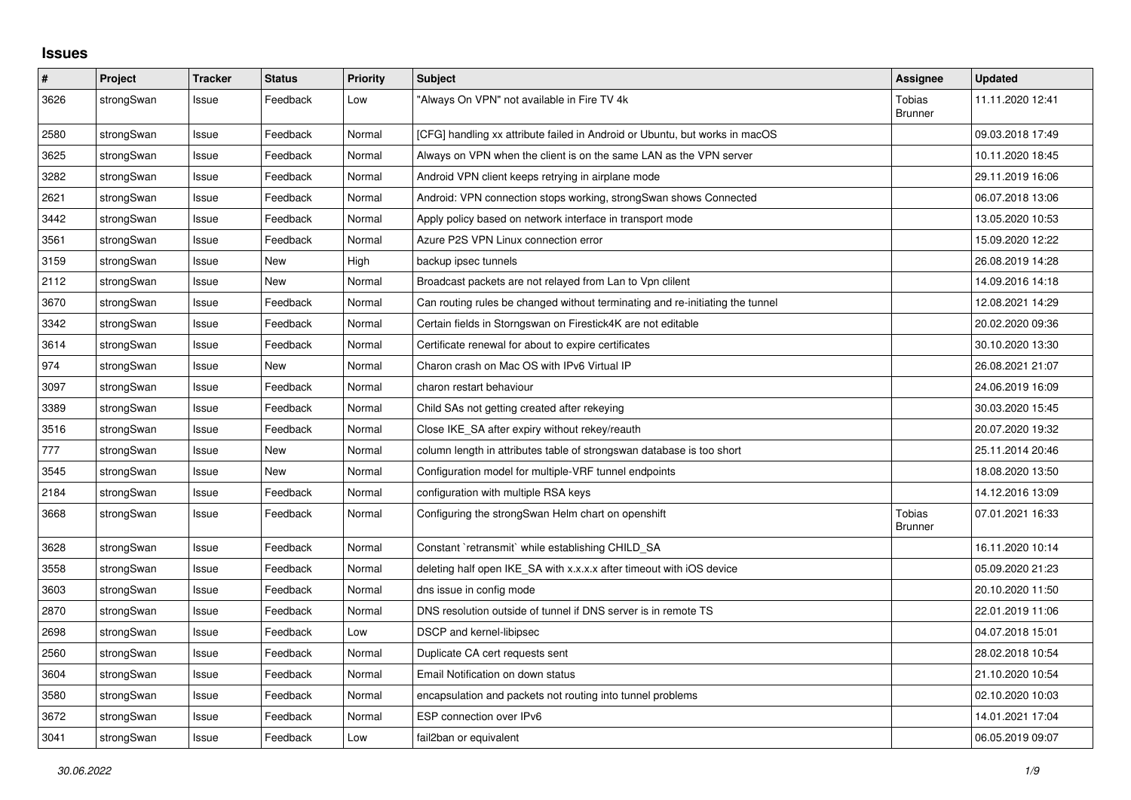## **Issues**

| $\pmb{\#}$ | Project    | <b>Tracker</b> | <b>Status</b> | <b>Priority</b> | <b>Subject</b>                                                                | <b>Assignee</b>                 | <b>Updated</b>   |
|------------|------------|----------------|---------------|-----------------|-------------------------------------------------------------------------------|---------------------------------|------------------|
| 3626       | strongSwan | Issue          | Feedback      | Low             | "Always On VPN" not available in Fire TV 4k                                   | Tobias<br><b>Brunner</b>        | 11.11.2020 12:41 |
| 2580       | strongSwan | Issue          | Feedback      | Normal          | [CFG] handling xx attribute failed in Android or Ubuntu, but works in macOS   |                                 | 09.03.2018 17:49 |
| 3625       | strongSwan | Issue          | Feedback      | Normal          | Always on VPN when the client is on the same LAN as the VPN server            |                                 | 10.11.2020 18:45 |
| 3282       | strongSwan | Issue          | Feedback      | Normal          | Android VPN client keeps retrying in airplane mode                            |                                 | 29.11.2019 16:06 |
| 2621       | strongSwan | Issue          | Feedback      | Normal          | Android: VPN connection stops working, strongSwan shows Connected             |                                 | 06.07.2018 13:06 |
| 3442       | strongSwan | Issue          | Feedback      | Normal          | Apply policy based on network interface in transport mode                     |                                 | 13.05.2020 10:53 |
| 3561       | strongSwan | Issue          | Feedback      | Normal          | Azure P2S VPN Linux connection error                                          |                                 | 15.09.2020 12:22 |
| 3159       | strongSwan | Issue          | New           | High            | backup ipsec tunnels                                                          |                                 | 26.08.2019 14:28 |
| 2112       | strongSwan | Issue          | New           | Normal          | Broadcast packets are not relayed from Lan to Vpn clilent                     |                                 | 14.09.2016 14:18 |
| 3670       | strongSwan | Issue          | Feedback      | Normal          | Can routing rules be changed without terminating and re-initiating the tunnel |                                 | 12.08.2021 14:29 |
| 3342       | strongSwan | Issue          | Feedback      | Normal          | Certain fields in Storngswan on Firestick4K are not editable                  |                                 | 20.02.2020 09:36 |
| 3614       | strongSwan | Issue          | Feedback      | Normal          | Certificate renewal for about to expire certificates                          |                                 | 30.10.2020 13:30 |
| 974        | strongSwan | Issue          | <b>New</b>    | Normal          | Charon crash on Mac OS with IPv6 Virtual IP                                   |                                 | 26.08.2021 21:07 |
| 3097       | strongSwan | Issue          | Feedback      | Normal          | charon restart behaviour                                                      |                                 | 24.06.2019 16:09 |
| 3389       | strongSwan | Issue          | Feedback      | Normal          | Child SAs not getting created after rekeying                                  |                                 | 30.03.2020 15:45 |
| 3516       | strongSwan | Issue          | Feedback      | Normal          | Close IKE SA after expiry without rekey/reauth                                |                                 | 20.07.2020 19:32 |
| 777        | strongSwan | Issue          | New           | Normal          | column length in attributes table of strongswan database is too short         |                                 | 25.11.2014 20:46 |
| 3545       | strongSwan | Issue          | New           | Normal          | Configuration model for multiple-VRF tunnel endpoints                         |                                 | 18.08.2020 13:50 |
| 2184       | strongSwan | Issue          | Feedback      | Normal          | configuration with multiple RSA keys                                          |                                 | 14.12.2016 13:09 |
| 3668       | strongSwan | Issue          | Feedback      | Normal          | Configuring the strongSwan Helm chart on openshift                            | <b>Tobias</b><br><b>Brunner</b> | 07.01.2021 16:33 |
| 3628       | strongSwan | Issue          | Feedback      | Normal          | Constant `retransmit` while establishing CHILD SA                             |                                 | 16.11.2020 10:14 |
| 3558       | strongSwan | Issue          | Feedback      | Normal          | deleting half open IKE_SA with x.x.x.x after timeout with iOS device          |                                 | 05.09.2020 21:23 |
| 3603       | strongSwan | Issue          | Feedback      | Normal          | dns issue in config mode                                                      |                                 | 20.10.2020 11:50 |
| 2870       | strongSwan | Issue          | Feedback      | Normal          | DNS resolution outside of tunnel if DNS server is in remote TS                |                                 | 22.01.2019 11:06 |
| 2698       | strongSwan | Issue          | Feedback      | Low             | DSCP and kernel-libipsec                                                      |                                 | 04.07.2018 15:01 |
| 2560       | strongSwan | Issue          | Feedback      | Normal          | Duplicate CA cert requests sent                                               |                                 | 28.02.2018 10:54 |
| 3604       | strongSwan | Issue          | Feedback      | Normal          | Email Notification on down status                                             |                                 | 21.10.2020 10:54 |
| 3580       | strongSwan | Issue          | Feedback      | Normal          | encapsulation and packets not routing into tunnel problems                    |                                 | 02.10.2020 10:03 |
| 3672       | strongSwan | Issue          | Feedback      | Normal          | ESP connection over IPv6                                                      |                                 | 14.01.2021 17:04 |
| 3041       | strongSwan | Issue          | Feedback      | Low             | fail2ban or equivalent                                                        |                                 | 06.05.2019 09:07 |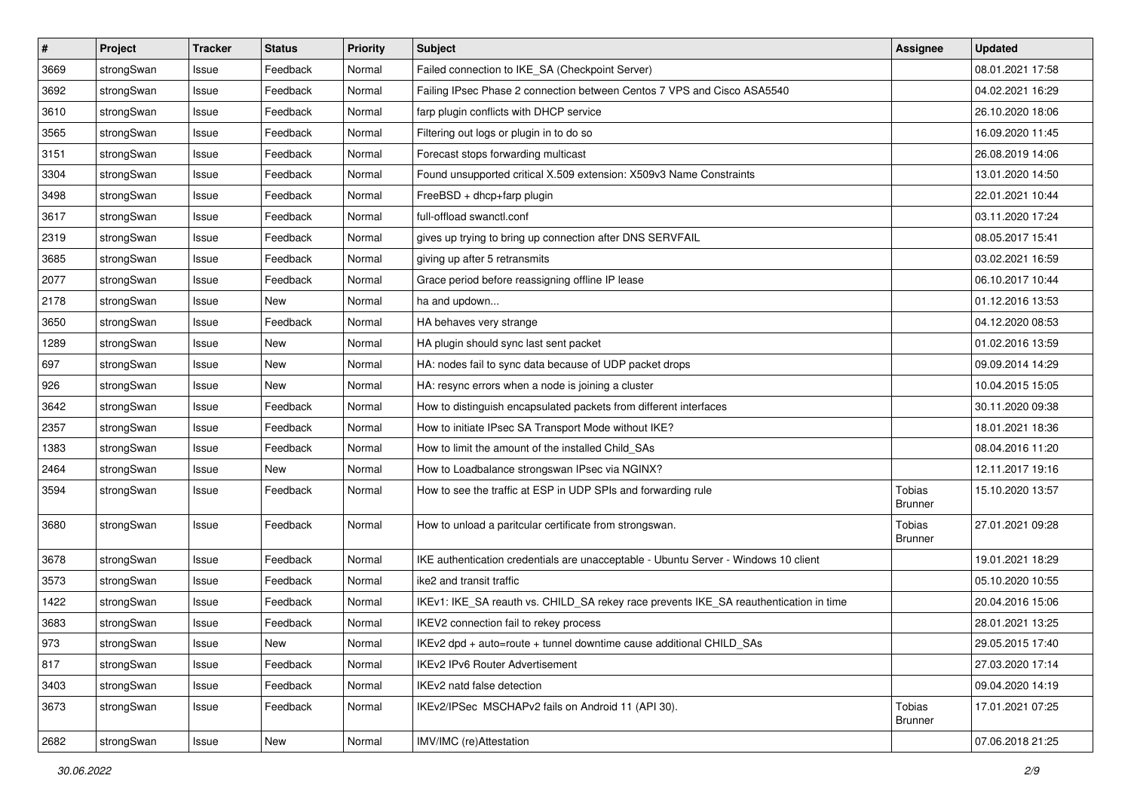| $\sharp$ | Project    | <b>Tracker</b> | <b>Status</b> | Priority | <b>Subject</b>                                                                        | <b>Assignee</b>          | <b>Updated</b>   |
|----------|------------|----------------|---------------|----------|---------------------------------------------------------------------------------------|--------------------------|------------------|
| 3669     | strongSwan | Issue          | Feedback      | Normal   | Failed connection to IKE_SA (Checkpoint Server)                                       |                          | 08.01.2021 17:58 |
| 3692     | strongSwan | Issue          | Feedback      | Normal   | Failing IPsec Phase 2 connection between Centos 7 VPS and Cisco ASA5540               |                          | 04.02.2021 16:29 |
| 3610     | strongSwan | Issue          | Feedback      | Normal   | farp plugin conflicts with DHCP service                                               |                          | 26.10.2020 18:06 |
| 3565     | strongSwan | Issue          | Feedback      | Normal   | Filtering out logs or plugin in to do so                                              |                          | 16.09.2020 11:45 |
| 3151     | strongSwan | Issue          | Feedback      | Normal   | Forecast stops forwarding multicast                                                   |                          | 26.08.2019 14:06 |
| 3304     | strongSwan | Issue          | Feedback      | Normal   | Found unsupported critical X.509 extension: X509v3 Name Constraints                   |                          | 13.01.2020 14:50 |
| 3498     | strongSwan | Issue          | Feedback      | Normal   | FreeBSD + dhcp+farp plugin                                                            |                          | 22.01.2021 10:44 |
| 3617     | strongSwan | Issue          | Feedback      | Normal   | full-offload swanctl.conf                                                             |                          | 03.11.2020 17:24 |
| 2319     | strongSwan | Issue          | Feedback      | Normal   | gives up trying to bring up connection after DNS SERVFAIL                             |                          | 08.05.2017 15:41 |
| 3685     | strongSwan | Issue          | Feedback      | Normal   | giving up after 5 retransmits                                                         |                          | 03.02.2021 16:59 |
| 2077     | strongSwan | Issue          | Feedback      | Normal   | Grace period before reassigning offline IP lease                                      |                          | 06.10.2017 10:44 |
| 2178     | strongSwan | Issue          | New           | Normal   | ha and updown                                                                         |                          | 01.12.2016 13:53 |
| 3650     | strongSwan | Issue          | Feedback      | Normal   | HA behaves very strange                                                               |                          | 04.12.2020 08:53 |
| 1289     | strongSwan | Issue          | New           | Normal   | HA plugin should sync last sent packet                                                |                          | 01.02.2016 13:59 |
| 697      | strongSwan | Issue          | New           | Normal   | HA: nodes fail to sync data because of UDP packet drops                               |                          | 09.09.2014 14:29 |
| 926      | strongSwan | Issue          | New           | Normal   | HA: resync errors when a node is joining a cluster                                    |                          | 10.04.2015 15:05 |
| 3642     | strongSwan | Issue          | Feedback      | Normal   | How to distinguish encapsulated packets from different interfaces                     |                          | 30.11.2020 09:38 |
| 2357     | strongSwan | Issue          | Feedback      | Normal   | How to initiate IPsec SA Transport Mode without IKE?                                  |                          | 18.01.2021 18:36 |
| 1383     | strongSwan | Issue          | Feedback      | Normal   | How to limit the amount of the installed Child_SAs                                    |                          | 08.04.2016 11:20 |
| 2464     | strongSwan | Issue          | New           | Normal   | How to Loadbalance strongswan IPsec via NGINX?                                        |                          | 12.11.2017 19:16 |
| 3594     | strongSwan | Issue          | Feedback      | Normal   | How to see the traffic at ESP in UDP SPIs and forwarding rule                         | Tobias<br><b>Brunner</b> | 15.10.2020 13:57 |
| 3680     | strongSwan | Issue          | Feedback      | Normal   | How to unload a paritcular certificate from strongswan.                               | Tobias<br><b>Brunner</b> | 27.01.2021 09:28 |
| 3678     | strongSwan | Issue          | Feedback      | Normal   | IKE authentication credentials are unacceptable - Ubuntu Server - Windows 10 client   |                          | 19.01.2021 18:29 |
| 3573     | strongSwan | Issue          | Feedback      | Normal   | ike2 and transit traffic                                                              |                          | 05.10.2020 10:55 |
| 1422     | strongSwan | Issue          | Feedback      | Normal   | IKEv1: IKE_SA reauth vs. CHILD_SA rekey race prevents IKE_SA reauthentication in time |                          | 20.04.2016 15:06 |
| 3683     | strongSwan | Issue          | Feedback      | Normal   | IKEV2 connection fail to rekey process                                                |                          | 28.01.2021 13:25 |
| 973      | strongSwan | Issue          | New           | Normal   | IKEv2 dpd + auto=route + tunnel downtime cause additional CHILD SAs                   |                          | 29.05.2015 17:40 |
| 817      | strongSwan | Issue          | Feedback      | Normal   | IKEv2 IPv6 Router Advertisement                                                       |                          | 27.03.2020 17:14 |
| 3403     | strongSwan | Issue          | Feedback      | Normal   | IKEv2 natd false detection                                                            |                          | 09.04.2020 14:19 |
| 3673     | strongSwan | Issue          | Feedback      | Normal   | IKEv2/IPSec MSCHAPv2 fails on Android 11 (API 30).                                    | Tobias<br><b>Brunner</b> | 17.01.2021 07:25 |
| 2682     | strongSwan | Issue          | New           | Normal   | IMV/IMC (re)Attestation                                                               |                          | 07.06.2018 21:25 |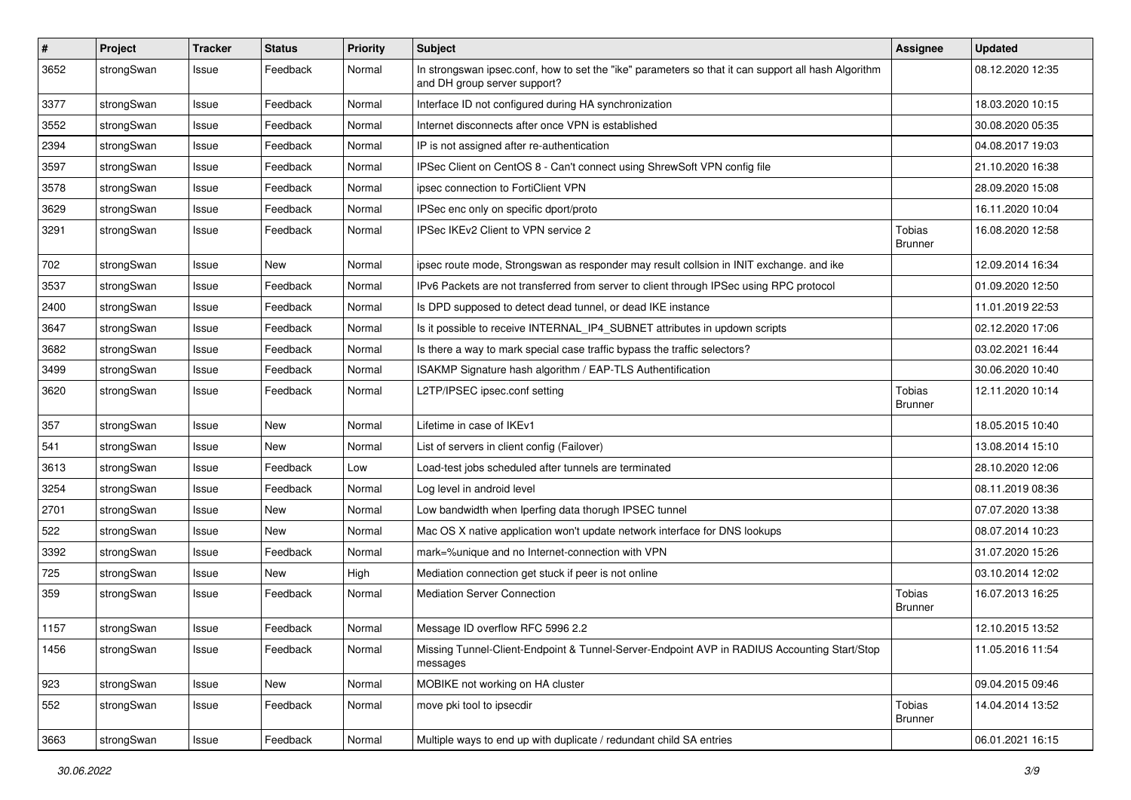| $\sharp$ | Project    | <b>Tracker</b> | <b>Status</b> | <b>Priority</b> | <b>Subject</b>                                                                                                                      | <b>Assignee</b>          | <b>Updated</b>   |
|----------|------------|----------------|---------------|-----------------|-------------------------------------------------------------------------------------------------------------------------------------|--------------------------|------------------|
| 3652     | strongSwan | Issue          | Feedback      | Normal          | In strongswan ipsec.conf, how to set the "ike" parameters so that it can support all hash Algorithm<br>and DH group server support? |                          | 08.12.2020 12:35 |
| 3377     | strongSwan | Issue          | Feedback      | Normal          | Interface ID not configured during HA synchronization                                                                               |                          | 18.03.2020 10:15 |
| 3552     | strongSwan | Issue          | Feedback      | Normal          | Internet disconnects after once VPN is established                                                                                  |                          | 30.08.2020 05:35 |
| 2394     | strongSwan | Issue          | Feedback      | Normal          | IP is not assigned after re-authentication                                                                                          |                          | 04.08.2017 19:03 |
| 3597     | strongSwan | Issue          | Feedback      | Normal          | IPSec Client on CentOS 8 - Can't connect using ShrewSoft VPN config file                                                            |                          | 21.10.2020 16:38 |
| 3578     | strongSwan | Issue          | Feedback      | Normal          | ipsec connection to FortiClient VPN                                                                                                 |                          | 28.09.2020 15:08 |
| 3629     | strongSwan | Issue          | Feedback      | Normal          | IPSec enc only on specific dport/proto                                                                                              |                          | 16.11.2020 10:04 |
| 3291     | strongSwan | Issue          | Feedback      | Normal          | IPSec IKEv2 Client to VPN service 2                                                                                                 | Tobias<br><b>Brunner</b> | 16.08.2020 12:58 |
| 702      | strongSwan | Issue          | New           | Normal          | ipsec route mode, Strongswan as responder may result collsion in INIT exchange. and ike                                             |                          | 12.09.2014 16:34 |
| 3537     | strongSwan | Issue          | Feedback      | Normal          | IPv6 Packets are not transferred from server to client through IPSec using RPC protocol                                             |                          | 01.09.2020 12:50 |
| 2400     | strongSwan | Issue          | Feedback      | Normal          | Is DPD supposed to detect dead tunnel, or dead IKE instance                                                                         |                          | 11.01.2019 22:53 |
| 3647     | strongSwan | Issue          | Feedback      | Normal          | Is it possible to receive INTERNAL_IP4_SUBNET attributes in updown scripts                                                          |                          | 02.12.2020 17:06 |
| 3682     | strongSwan | Issue          | Feedback      | Normal          | Is there a way to mark special case traffic bypass the traffic selectors?                                                           |                          | 03.02.2021 16:44 |
| 3499     | strongSwan | Issue          | Feedback      | Normal          | ISAKMP Signature hash algorithm / EAP-TLS Authentification                                                                          |                          | 30.06.2020 10:40 |
| 3620     | strongSwan | Issue          | Feedback      | Normal          | L2TP/IPSEC ipsec.conf setting                                                                                                       | Tobias<br><b>Brunner</b> | 12.11.2020 10:14 |
| 357      | strongSwan | Issue          | <b>New</b>    | Normal          | Lifetime in case of IKEv1                                                                                                           |                          | 18.05.2015 10:40 |
| 541      | strongSwan | Issue          | New           | Normal          | List of servers in client config (Failover)                                                                                         |                          | 13.08.2014 15:10 |
| 3613     | strongSwan | Issue          | Feedback      | Low             | Load-test jobs scheduled after tunnels are terminated                                                                               |                          | 28.10.2020 12:06 |
| 3254     | strongSwan | Issue          | Feedback      | Normal          | Log level in android level                                                                                                          |                          | 08.11.2019 08:36 |
| 2701     | strongSwan | Issue          | New           | Normal          | Low bandwidth when Iperfing data thorugh IPSEC tunnel                                                                               |                          | 07.07.2020 13:38 |
| 522      | strongSwan | Issue          | New           | Normal          | Mac OS X native application won't update network interface for DNS lookups                                                          |                          | 08.07.2014 10:23 |
| 3392     | strongSwan | Issue          | Feedback      | Normal          | mark=%unique and no Internet-connection with VPN                                                                                    |                          | 31.07.2020 15:26 |
| 725      | strongSwan | Issue          | <b>New</b>    | High            | Mediation connection get stuck if peer is not online                                                                                |                          | 03.10.2014 12:02 |
| 359      | strongSwan | Issue          | Feedback      | Normal          | <b>Mediation Server Connection</b>                                                                                                  | Tobias<br><b>Brunner</b> | 16.07.2013 16:25 |
| 1157     | strongSwan | Issue          | Feedback      | Normal          | Message ID overflow RFC 5996 2.2                                                                                                    |                          | 12.10.2015 13:52 |
| 1456     | strongSwan | Issue          | Feedback      | Normal          | Missing Tunnel-Client-Endpoint & Tunnel-Server-Endpoint AVP in RADIUS Accounting Start/Stop<br>messages                             |                          | 11.05.2016 11:54 |
| 923      | strongSwan | Issue          | New           | Normal          | MOBIKE not working on HA cluster                                                                                                    |                          | 09.04.2015 09:46 |
| 552      | strongSwan | Issue          | Feedback      | Normal          | move pki tool to ipsecdir                                                                                                           | Tobias<br><b>Brunner</b> | 14.04.2014 13:52 |
| 3663     | strongSwan | Issue          | Feedback      | Normal          | Multiple ways to end up with duplicate / redundant child SA entries                                                                 |                          | 06.01.2021 16:15 |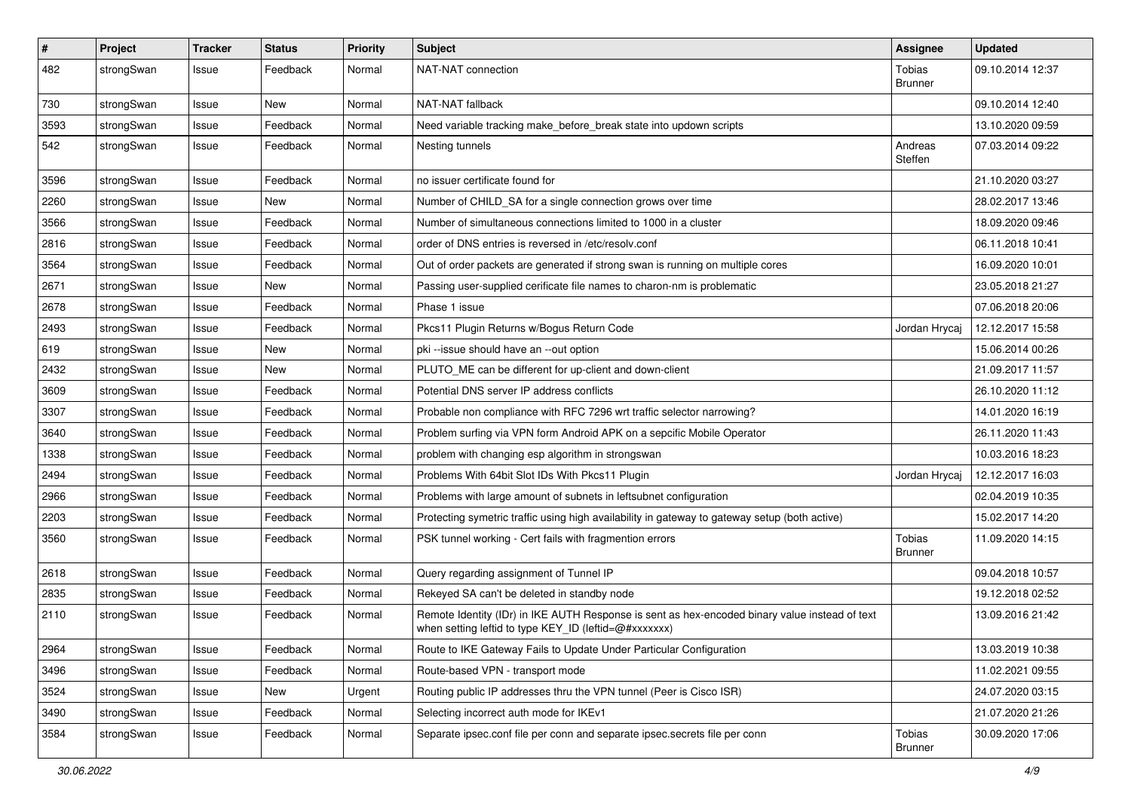| $\pmb{\#}$ | Project    | <b>Tracker</b> | <b>Status</b> | <b>Priority</b> | <b>Subject</b>                                                                                                                                          | <b>Assignee</b>                 | <b>Updated</b>   |
|------------|------------|----------------|---------------|-----------------|---------------------------------------------------------------------------------------------------------------------------------------------------------|---------------------------------|------------------|
| 482        | strongSwan | Issue          | Feedback      | Normal          | NAT-NAT connection                                                                                                                                      | Tobias<br><b>Brunner</b>        | 09.10.2014 12:37 |
| 730        | strongSwan | Issue          | New           | Normal          | NAT-NAT fallback                                                                                                                                        |                                 | 09.10.2014 12:40 |
| 3593       | strongSwan | Issue          | Feedback      | Normal          | Need variable tracking make_before_break state into updown scripts                                                                                      |                                 | 13.10.2020 09:59 |
| 542        | strongSwan | Issue          | Feedback      | Normal          | Nesting tunnels                                                                                                                                         | Andreas<br>Steffen              | 07.03.2014 09:22 |
| 3596       | strongSwan | Issue          | Feedback      | Normal          | no issuer certificate found for                                                                                                                         |                                 | 21.10.2020 03:27 |
| 2260       | strongSwan | Issue          | New           | Normal          | Number of CHILD SA for a single connection grows over time                                                                                              |                                 | 28.02.2017 13:46 |
| 3566       | strongSwan | Issue          | Feedback      | Normal          | Number of simultaneous connections limited to 1000 in a cluster                                                                                         |                                 | 18.09.2020 09:46 |
| 2816       | strongSwan | Issue          | Feedback      | Normal          | order of DNS entries is reversed in /etc/resolv.conf                                                                                                    |                                 | 06.11.2018 10:41 |
| 3564       | strongSwan | Issue          | Feedback      | Normal          | Out of order packets are generated if strong swan is running on multiple cores                                                                          |                                 | 16.09.2020 10:01 |
| 2671       | strongSwan | Issue          | New           | Normal          | Passing user-supplied cerificate file names to charon-nm is problematic                                                                                 |                                 | 23.05.2018 21:27 |
| 2678       | strongSwan | Issue          | Feedback      | Normal          | Phase 1 issue                                                                                                                                           |                                 | 07.06.2018 20:06 |
| 2493       | strongSwan | Issue          | Feedback      | Normal          | Pkcs11 Plugin Returns w/Bogus Return Code                                                                                                               | Jordan Hrycaj                   | 12.12.2017 15:58 |
| 619        | strongSwan | Issue          | New           | Normal          | pki --issue should have an --out option                                                                                                                 |                                 | 15.06.2014 00:26 |
| 2432       | strongSwan | Issue          | New           | Normal          | PLUTO ME can be different for up-client and down-client                                                                                                 |                                 | 21.09.2017 11:57 |
| 3609       | strongSwan | Issue          | Feedback      | Normal          | Potential DNS server IP address conflicts                                                                                                               |                                 | 26.10.2020 11:12 |
| 3307       | strongSwan | Issue          | Feedback      | Normal          | Probable non compliance with RFC 7296 wrt traffic selector narrowing?                                                                                   |                                 | 14.01.2020 16:19 |
| 3640       | strongSwan | Issue          | Feedback      | Normal          | Problem surfing via VPN form Android APK on a sepcific Mobile Operator                                                                                  |                                 | 26.11.2020 11:43 |
| 1338       | strongSwan | Issue          | Feedback      | Normal          | problem with changing esp algorithm in strongswan                                                                                                       |                                 | 10.03.2016 18:23 |
| 2494       | strongSwan | Issue          | Feedback      | Normal          | Problems With 64bit Slot IDs With Pkcs11 Plugin                                                                                                         | Jordan Hrycaj                   | 12.12.2017 16:03 |
| 2966       | strongSwan | Issue          | Feedback      | Normal          | Problems with large amount of subnets in leftsubnet configuration                                                                                       |                                 | 02.04.2019 10:35 |
| 2203       | strongSwan | Issue          | Feedback      | Normal          | Protecting symetric traffic using high availability in gateway to gateway setup (both active)                                                           |                                 | 15.02.2017 14:20 |
| 3560       | strongSwan | Issue          | Feedback      | Normal          | PSK tunnel working - Cert fails with fragmention errors                                                                                                 | <b>Tobias</b><br><b>Brunner</b> | 11.09.2020 14:15 |
| 2618       | strongSwan | Issue          | Feedback      | Normal          | Query regarding assignment of Tunnel IP                                                                                                                 |                                 | 09.04.2018 10:57 |
| 2835       | strongSwan | Issue          | Feedback      | Normal          | Rekeyed SA can't be deleted in standby node                                                                                                             |                                 | 19.12.2018 02:52 |
| 2110       | strongSwan | Issue          | Feedback      | Normal          | Remote Identity (IDr) in IKE AUTH Response is sent as hex-encoded binary value instead of text<br>when setting leftid to type KEY_ID (leftid=@#xxxxxxx) |                                 | 13.09.2016 21:42 |
| 2964       | strongSwan | Issue          | Feedback      | Normal          | Route to IKE Gateway Fails to Update Under Particular Configuration                                                                                     |                                 | 13.03.2019 10:38 |
| 3496       | strongSwan | Issue          | Feedback      | Normal          | Route-based VPN - transport mode                                                                                                                        |                                 | 11.02.2021 09:55 |
| 3524       | strongSwan | Issue          | New           | Urgent          | Routing public IP addresses thru the VPN tunnel (Peer is Cisco ISR)                                                                                     |                                 | 24.07.2020 03:15 |
| 3490       | strongSwan | Issue          | Feedback      | Normal          | Selecting incorrect auth mode for IKEv1                                                                                                                 |                                 | 21.07.2020 21:26 |
| 3584       | strongSwan | Issue          | Feedback      | Normal          | Separate ipsec.conf file per conn and separate ipsec.secrets file per conn                                                                              | Tobias<br><b>Brunner</b>        | 30.09.2020 17:06 |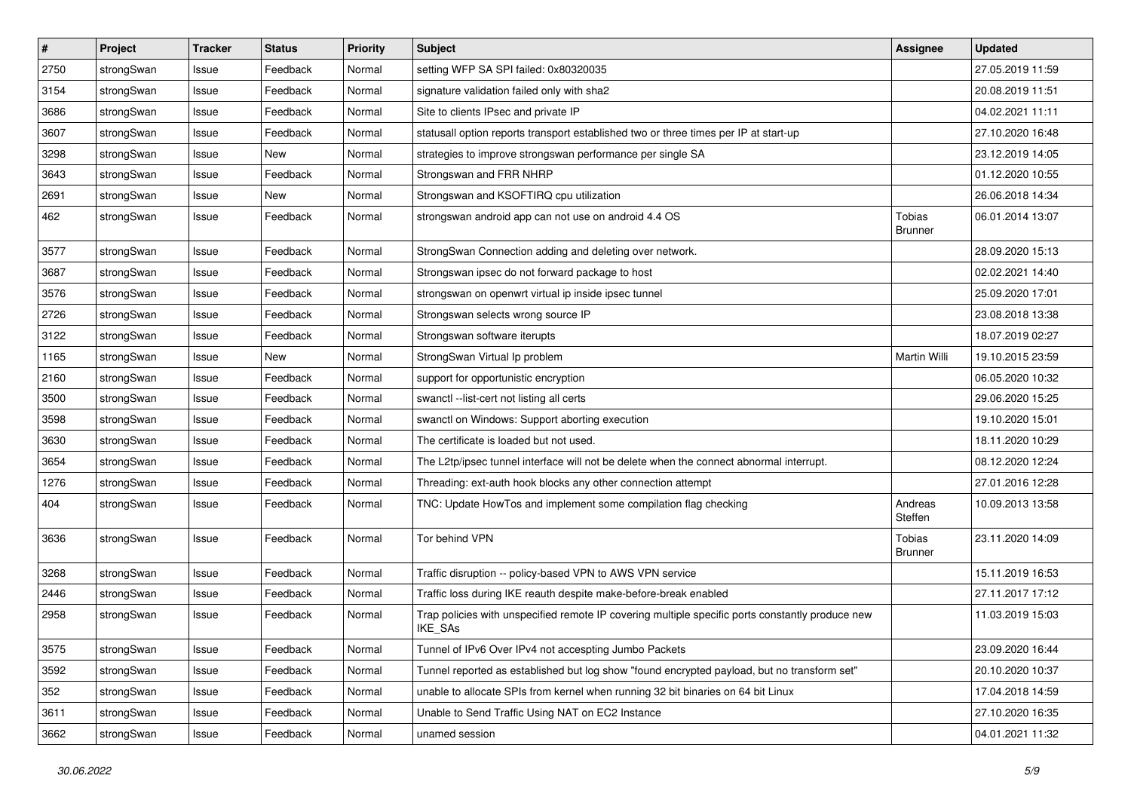| $\sharp$ | Project    | <b>Tracker</b> | <b>Status</b> | <b>Priority</b> | <b>Subject</b>                                                                                              | <b>Assignee</b>          | <b>Updated</b>   |
|----------|------------|----------------|---------------|-----------------|-------------------------------------------------------------------------------------------------------------|--------------------------|------------------|
| 2750     | strongSwan | Issue          | Feedback      | Normal          | setting WFP SA SPI failed: 0x80320035                                                                       |                          | 27.05.2019 11:59 |
| 3154     | strongSwan | Issue          | Feedback      | Normal          | signature validation failed only with sha2                                                                  |                          | 20.08.2019 11:51 |
| 3686     | strongSwan | Issue          | Feedback      | Normal          | Site to clients IPsec and private IP                                                                        |                          | 04.02.2021 11:11 |
| 3607     | strongSwan | Issue          | Feedback      | Normal          | statusall option reports transport established two or three times per IP at start-up                        |                          | 27.10.2020 16:48 |
| 3298     | strongSwan | Issue          | <b>New</b>    | Normal          | strategies to improve strongswan performance per single SA                                                  |                          | 23.12.2019 14:05 |
| 3643     | strongSwan | Issue          | Feedback      | Normal          | Strongswan and FRR NHRP                                                                                     |                          | 01.12.2020 10:55 |
| 2691     | strongSwan | Issue          | New           | Normal          | Strongswan and KSOFTIRQ cpu utilization                                                                     |                          | 26.06.2018 14:34 |
| 462      | strongSwan | Issue          | Feedback      | Normal          | strongswan android app can not use on android 4.4 OS                                                        | Tobias<br><b>Brunner</b> | 06.01.2014 13:07 |
| 3577     | strongSwan | Issue          | Feedback      | Normal          | StrongSwan Connection adding and deleting over network.                                                     |                          | 28.09.2020 15:13 |
| 3687     | strongSwan | Issue          | Feedback      | Normal          | Strongswan ipsec do not forward package to host                                                             |                          | 02.02.2021 14:40 |
| 3576     | strongSwan | Issue          | Feedback      | Normal          | strongswan on openwrt virtual ip inside ipsec tunnel                                                        |                          | 25.09.2020 17:01 |
| 2726     | strongSwan | Issue          | Feedback      | Normal          | Strongswan selects wrong source IP                                                                          |                          | 23.08.2018 13:38 |
| 3122     | strongSwan | Issue          | Feedback      | Normal          | Strongswan software iterupts                                                                                |                          | 18.07.2019 02:27 |
| 1165     | strongSwan | Issue          | New           | Normal          | StrongSwan Virtual Ip problem                                                                               | Martin Willi             | 19.10.2015 23:59 |
| 2160     | strongSwan | Issue          | Feedback      | Normal          | support for opportunistic encryption                                                                        |                          | 06.05.2020 10:32 |
| 3500     | strongSwan | Issue          | Feedback      | Normal          | swanctl --list-cert not listing all certs                                                                   |                          | 29.06.2020 15:25 |
| 3598     | strongSwan | Issue          | Feedback      | Normal          | swanctl on Windows: Support aborting execution                                                              |                          | 19.10.2020 15:01 |
| 3630     | strongSwan | Issue          | Feedback      | Normal          | The certificate is loaded but not used.                                                                     |                          | 18.11.2020 10:29 |
| 3654     | strongSwan | Issue          | Feedback      | Normal          | The L2tp/ipsec tunnel interface will not be delete when the connect abnormal interrupt.                     |                          | 08.12.2020 12:24 |
| 1276     | strongSwan | Issue          | Feedback      | Normal          | Threading: ext-auth hook blocks any other connection attempt                                                |                          | 27.01.2016 12:28 |
| 404      | strongSwan | Issue          | Feedback      | Normal          | TNC: Update HowTos and implement some compilation flag checking                                             | Andreas<br>Steffen       | 10.09.2013 13:58 |
| 3636     | strongSwan | Issue          | Feedback      | Normal          | Tor behind VPN                                                                                              | Tobias<br><b>Brunner</b> | 23.11.2020 14:09 |
| 3268     | strongSwan | Issue          | Feedback      | Normal          | Traffic disruption -- policy-based VPN to AWS VPN service                                                   |                          | 15.11.2019 16:53 |
| 2446     | strongSwan | Issue          | Feedback      | Normal          | Traffic loss during IKE reauth despite make-before-break enabled                                            |                          | 27.11.2017 17:12 |
| 2958     | strongSwan | Issue          | Feedback      | Normal          | Trap policies with unspecified remote IP covering multiple specific ports constantly produce new<br>IKE_SAs |                          | 11.03.2019 15:03 |
| 3575     | strongSwan | Issue          | Feedback      | Normal          | Tunnel of IPv6 Over IPv4 not accespting Jumbo Packets                                                       |                          | 23.09.2020 16:44 |
| 3592     | strongSwan | Issue          | Feedback      | Normal          | Tunnel reported as established but log show "found encrypted payload, but no transform set"                 |                          | 20.10.2020 10:37 |
| 352      | strongSwan | Issue          | Feedback      | Normal          | unable to allocate SPIs from kernel when running 32 bit binaries on 64 bit Linux                            |                          | 17.04.2018 14:59 |
| 3611     | strongSwan | Issue          | Feedback      | Normal          | Unable to Send Traffic Using NAT on EC2 Instance                                                            |                          | 27.10.2020 16:35 |
| 3662     | strongSwan | Issue          | Feedback      | Normal          | unamed session                                                                                              |                          | 04.01.2021 11:32 |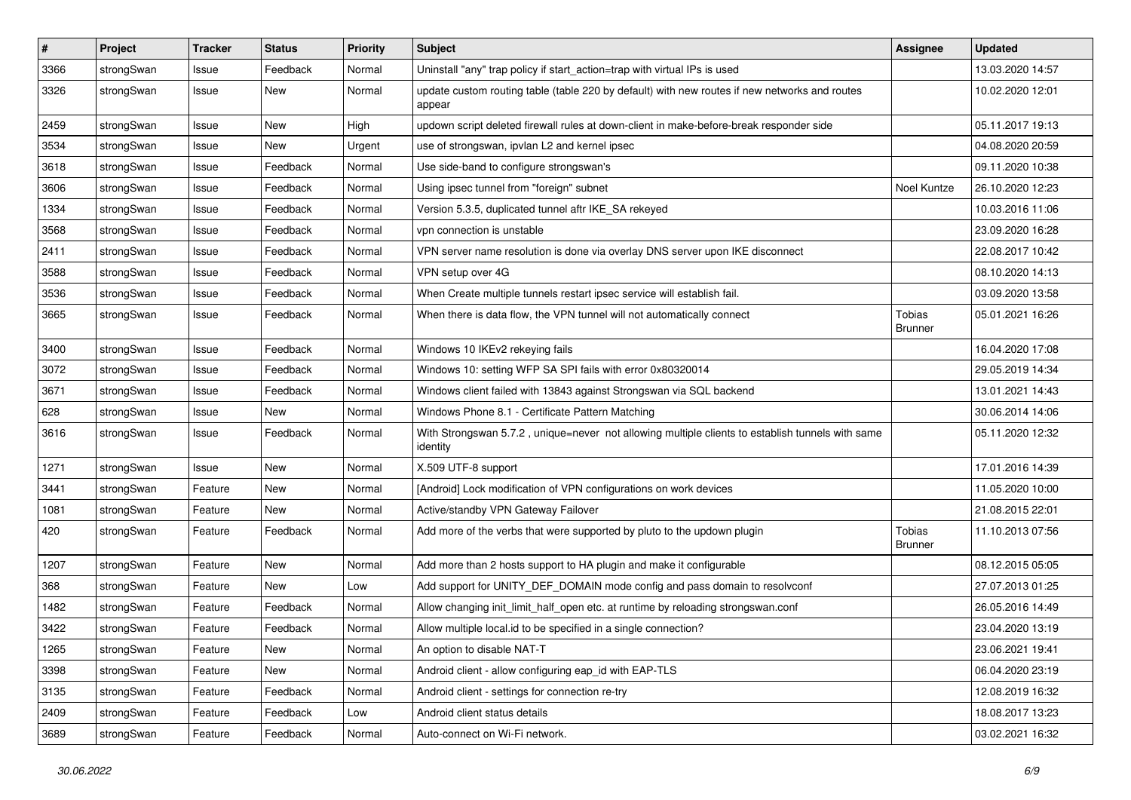| $\pmb{\#}$ | Project    | <b>Tracker</b> | <b>Status</b> | <b>Priority</b> | <b>Subject</b>                                                                                               | <b>Assignee</b>                 | <b>Updated</b>   |
|------------|------------|----------------|---------------|-----------------|--------------------------------------------------------------------------------------------------------------|---------------------------------|------------------|
| 3366       | strongSwan | Issue          | Feedback      | Normal          | Uninstall "any" trap policy if start_action=trap with virtual IPs is used                                    |                                 | 13.03.2020 14:57 |
| 3326       | strongSwan | Issue          | New           | Normal          | update custom routing table (table 220 by default) with new routes if new networks and routes<br>appear      |                                 | 10.02.2020 12:01 |
| 2459       | strongSwan | Issue          | New           | High            | updown script deleted firewall rules at down-client in make-before-break responder side                      |                                 | 05.11.2017 19:13 |
| 3534       | strongSwan | Issue          | New           | Urgent          | use of strongswan, ipvlan L2 and kernel ipsec                                                                |                                 | 04.08.2020 20:59 |
| 3618       | strongSwan | Issue          | Feedback      | Normal          | Use side-band to configure strongswan's                                                                      |                                 | 09.11.2020 10:38 |
| 3606       | strongSwan | Issue          | Feedback      | Normal          | Using ipsec tunnel from "foreign" subnet                                                                     | Noel Kuntze                     | 26.10.2020 12:23 |
| 1334       | strongSwan | Issue          | Feedback      | Normal          | Version 5.3.5, duplicated tunnel aftr IKE_SA rekeyed                                                         |                                 | 10.03.2016 11:06 |
| 3568       | strongSwan | Issue          | Feedback      | Normal          | vpn connection is unstable                                                                                   |                                 | 23.09.2020 16:28 |
| 2411       | strongSwan | Issue          | Feedback      | Normal          | VPN server name resolution is done via overlay DNS server upon IKE disconnect                                |                                 | 22.08.2017 10:42 |
| 3588       | strongSwan | Issue          | Feedback      | Normal          | VPN setup over 4G                                                                                            |                                 | 08.10.2020 14:13 |
| 3536       | strongSwan | Issue          | Feedback      | Normal          | When Create multiple tunnels restart ipsec service will establish fail.                                      |                                 | 03.09.2020 13:58 |
| 3665       | strongSwan | Issue          | Feedback      | Normal          | When there is data flow, the VPN tunnel will not automatically connect                                       | Tobias<br><b>Brunner</b>        | 05.01.2021 16:26 |
| 3400       | strongSwan | Issue          | Feedback      | Normal          | Windows 10 IKEv2 rekeying fails                                                                              |                                 | 16.04.2020 17:08 |
| 3072       | strongSwan | Issue          | Feedback      | Normal          | Windows 10: setting WFP SA SPI fails with error 0x80320014                                                   |                                 | 29.05.2019 14:34 |
| 3671       | strongSwan | Issue          | Feedback      | Normal          | Windows client failed with 13843 against Strongswan via SQL backend                                          |                                 | 13.01.2021 14:43 |
| 628        | strongSwan | Issue          | <b>New</b>    | Normal          | Windows Phone 8.1 - Certificate Pattern Matching                                                             |                                 | 30.06.2014 14:06 |
| 3616       | strongSwan | Issue          | Feedback      | Normal          | With Strongswan 5.7.2, unique=never not allowing multiple clients to establish tunnels with same<br>identity |                                 | 05.11.2020 12:32 |
| 1271       | strongSwan | Issue          | <b>New</b>    | Normal          | X.509 UTF-8 support                                                                                          |                                 | 17.01.2016 14:39 |
| 3441       | strongSwan | Feature        | New           | Normal          | [Android] Lock modification of VPN configurations on work devices                                            |                                 | 11.05.2020 10:00 |
| 1081       | strongSwan | Feature        | New           | Normal          | Active/standby VPN Gateway Failover                                                                          |                                 | 21.08.2015 22:01 |
| 420        | strongSwan | Feature        | Feedback      | Normal          | Add more of the verbs that were supported by pluto to the updown plugin                                      | <b>Tobias</b><br><b>Brunner</b> | 11.10.2013 07:56 |
| 1207       | strongSwan | Feature        | <b>New</b>    | Normal          | Add more than 2 hosts support to HA plugin and make it configurable                                          |                                 | 08.12.2015 05:05 |
| 368        | strongSwan | Feature        | New           | Low             | Add support for UNITY_DEF_DOMAIN mode config and pass domain to resolvconf                                   |                                 | 27.07.2013 01:25 |
| 1482       | strongSwan | Feature        | Feedback      | Normal          | Allow changing init_limit_half_open etc. at runtime by reloading strongswan.conf                             |                                 | 26.05.2016 14:49 |
| 3422       | strongSwan | Feature        | Feedback      | Normal          | Allow multiple local id to be specified in a single connection?                                              |                                 | 23.04.2020 13:19 |
| 1265       | strongSwan | Feature        | New           | Normal          | An option to disable NAT-T                                                                                   |                                 | 23.06.2021 19:41 |
| 3398       | strongSwan | Feature        | New           | Normal          | Android client - allow configuring eap_id with EAP-TLS                                                       |                                 | 06.04.2020 23:19 |
| 3135       | strongSwan | Feature        | Feedback      | Normal          | Android client - settings for connection re-try                                                              |                                 | 12.08.2019 16:32 |
| 2409       | strongSwan | Feature        | Feedback      | Low             | Android client status details                                                                                |                                 | 18.08.2017 13:23 |
| 3689       | strongSwan | Feature        | Feedback      | Normal          | Auto-connect on Wi-Fi network.                                                                               |                                 | 03.02.2021 16:32 |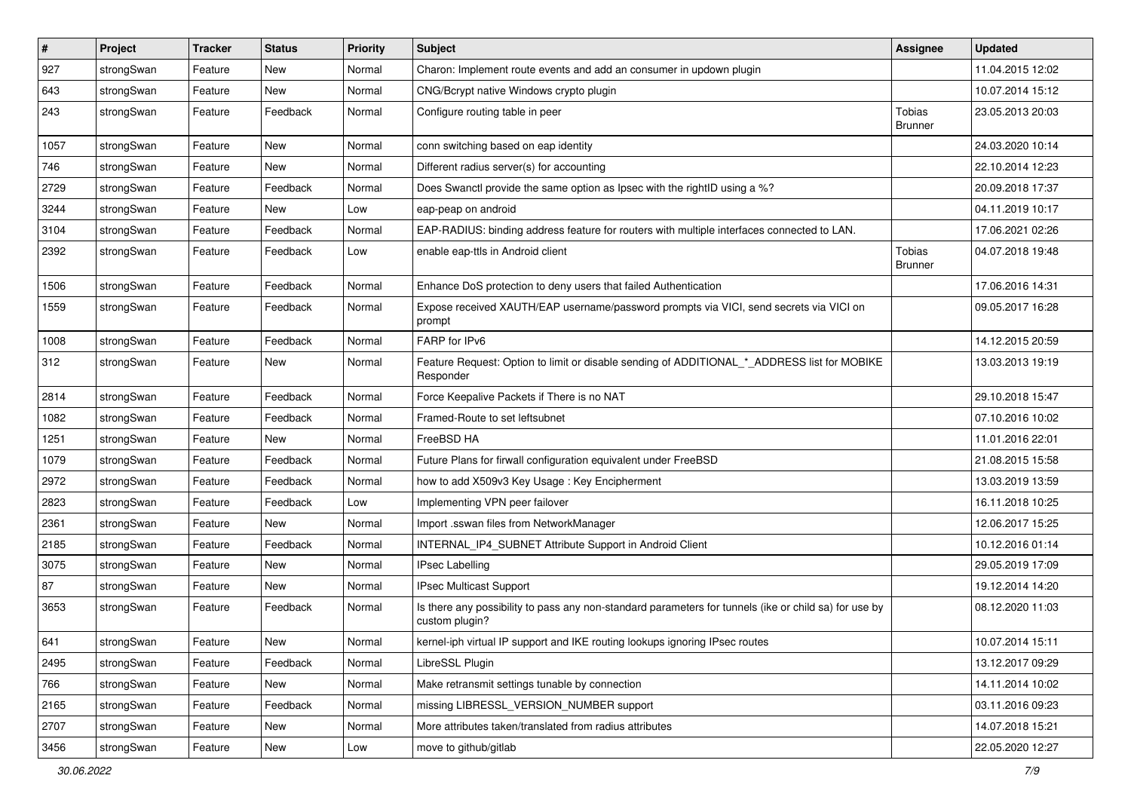| $\sharp$ | Project    | <b>Tracker</b> | <b>Status</b> | <b>Priority</b> | <b>Subject</b>                                                                                                          | <b>Assignee</b>          | <b>Updated</b>   |
|----------|------------|----------------|---------------|-----------------|-------------------------------------------------------------------------------------------------------------------------|--------------------------|------------------|
| 927      | strongSwan | Feature        | New           | Normal          | Charon: Implement route events and add an consumer in updown plugin                                                     |                          | 11.04.2015 12:02 |
| 643      | strongSwan | Feature        | New           | Normal          | CNG/Bcrypt native Windows crypto plugin                                                                                 |                          | 10.07.2014 15:12 |
| 243      | strongSwan | Feature        | Feedback      | Normal          | Configure routing table in peer                                                                                         | Tobias<br><b>Brunner</b> | 23.05.2013 20:03 |
| 1057     | strongSwan | Feature        | New           | Normal          | conn switching based on eap identity                                                                                    |                          | 24.03.2020 10:14 |
| 746      | strongSwan | Feature        | New           | Normal          | Different radius server(s) for accounting                                                                               |                          | 22.10.2014 12:23 |
| 2729     | strongSwan | Feature        | Feedback      | Normal          | Does Swanctl provide the same option as Ipsec with the rightID using a %?                                               |                          | 20.09.2018 17:37 |
| 3244     | strongSwan | Feature        | New           | Low             | eap-peap on android                                                                                                     |                          | 04.11.2019 10:17 |
| 3104     | strongSwan | Feature        | Feedback      | Normal          | EAP-RADIUS: binding address feature for routers with multiple interfaces connected to LAN.                              |                          | 17.06.2021 02:26 |
| 2392     | strongSwan | Feature        | Feedback      | Low             | enable eap-ttls in Android client                                                                                       | Tobias<br><b>Brunner</b> | 04.07.2018 19:48 |
| 1506     | strongSwan | Feature        | Feedback      | Normal          | Enhance DoS protection to deny users that failed Authentication                                                         |                          | 17.06.2016 14:31 |
| 1559     | strongSwan | Feature        | Feedback      | Normal          | Expose received XAUTH/EAP username/password prompts via VICI, send secrets via VICI on<br>prompt                        |                          | 09.05.2017 16:28 |
| 1008     | strongSwan | Feature        | Feedback      | Normal          | FARP for IPv6                                                                                                           |                          | 14.12.2015 20:59 |
| 312      | strongSwan | Feature        | New           | Normal          | Feature Request: Option to limit or disable sending of ADDITIONAL * ADDRESS list for MOBIKE<br>Responder                |                          | 13.03.2013 19:19 |
| 2814     | strongSwan | Feature        | Feedback      | Normal          | Force Keepalive Packets if There is no NAT                                                                              |                          | 29.10.2018 15:47 |
| 1082     | strongSwan | Feature        | Feedback      | Normal          | Framed-Route to set leftsubnet                                                                                          |                          | 07.10.2016 10:02 |
| 1251     | strongSwan | Feature        | New           | Normal          | FreeBSD HA                                                                                                              |                          | 11.01.2016 22:01 |
| 1079     | strongSwan | Feature        | Feedback      | Normal          | Future Plans for firwall configuration equivalent under FreeBSD                                                         |                          | 21.08.2015 15:58 |
| 2972     | strongSwan | Feature        | Feedback      | Normal          | how to add X509v3 Key Usage: Key Encipherment                                                                           |                          | 13.03.2019 13:59 |
| 2823     | strongSwan | Feature        | Feedback      | Low             | Implementing VPN peer failover                                                                                          |                          | 16.11.2018 10:25 |
| 2361     | strongSwan | Feature        | New           | Normal          | Import .sswan files from NetworkManager                                                                                 |                          | 12.06.2017 15:25 |
| 2185     | strongSwan | Feature        | Feedback      | Normal          | INTERNAL_IP4_SUBNET Attribute Support in Android Client                                                                 |                          | 10.12.2016 01:14 |
| 3075     | strongSwan | Feature        | New           | Normal          | <b>IPsec Labelling</b>                                                                                                  |                          | 29.05.2019 17:09 |
| 87       | strongSwan | Feature        | New           | Normal          | <b>IPsec Multicast Support</b>                                                                                          |                          | 19.12.2014 14:20 |
| 3653     | strongSwan | Feature        | Feedback      | Normal          | Is there any possibility to pass any non-standard parameters for tunnels (ike or child sa) for use by<br>custom plugin? |                          | 08.12.2020 11:03 |
| 641      | strongSwan | Feature        | New           | Normal          | kernel-iph virtual IP support and IKE routing lookups ignoring IPsec routes                                             |                          | 10.07.2014 15:11 |
| 2495     | strongSwan | Feature        | Feedback      | Normal          | LibreSSL Plugin                                                                                                         |                          | 13.12.2017 09:29 |
| 766      | strongSwan | Feature        | New           | Normal          | Make retransmit settings tunable by connection                                                                          |                          | 14.11.2014 10:02 |
| 2165     | strongSwan | Feature        | Feedback      | Normal          | missing LIBRESSL_VERSION_NUMBER support                                                                                 |                          | 03.11.2016 09:23 |
| 2707     | strongSwan | Feature        | New           | Normal          | More attributes taken/translated from radius attributes                                                                 |                          | 14.07.2018 15:21 |
| 3456     | strongSwan | Feature        | New           | Low             | move to github/gitlab                                                                                                   |                          | 22.05.2020 12:27 |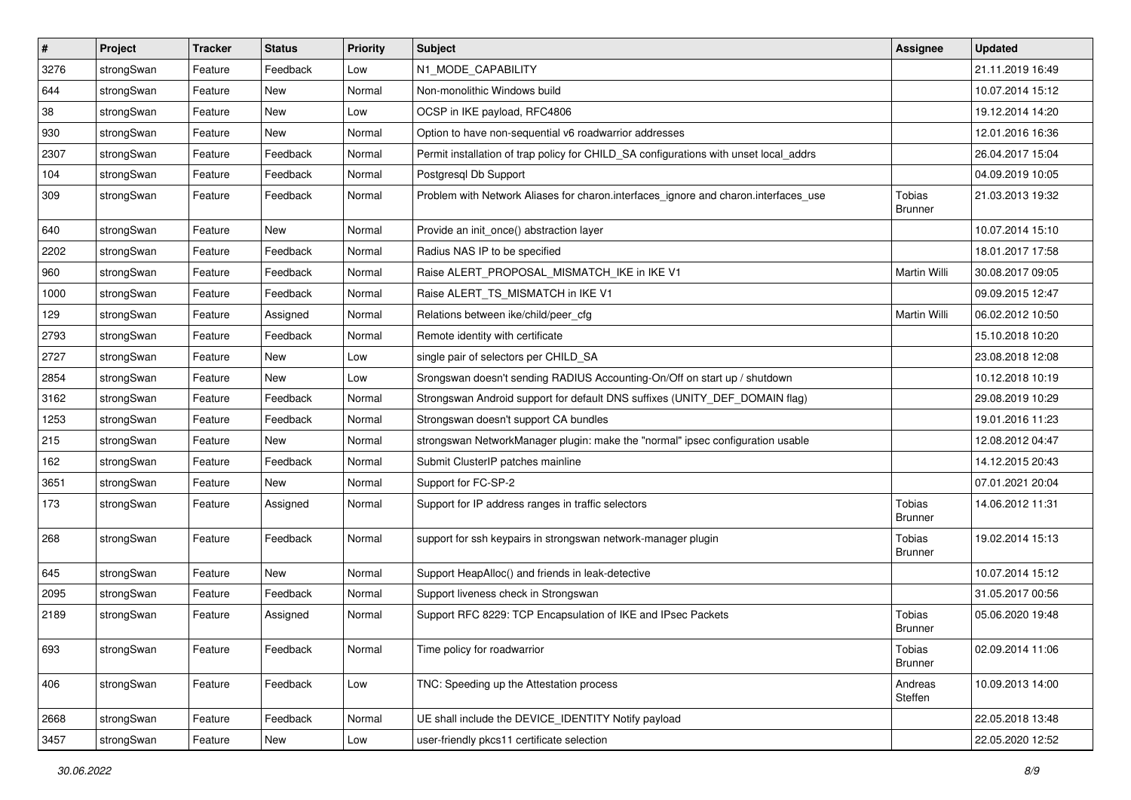| $\vert$ # | Project    | <b>Tracker</b> | <b>Status</b> | <b>Priority</b> | <b>Subject</b>                                                                        | <b>Assignee</b>          | <b>Updated</b>   |
|-----------|------------|----------------|---------------|-----------------|---------------------------------------------------------------------------------------|--------------------------|------------------|
| 3276      | strongSwan | Feature        | Feedback      | Low             | N1_MODE_CAPABILITY                                                                    |                          | 21.11.2019 16:49 |
| 644       | strongSwan | Feature        | New           | Normal          | Non-monolithic Windows build                                                          |                          | 10.07.2014 15:12 |
| 38        | strongSwan | Feature        | New           | Low             | OCSP in IKE payload, RFC4806                                                          |                          | 19.12.2014 14:20 |
| 930       | strongSwan | Feature        | New           | Normal          | Option to have non-sequential v6 roadwarrior addresses                                |                          | 12.01.2016 16:36 |
| 2307      | strongSwan | Feature        | Feedback      | Normal          | Permit installation of trap policy for CHILD_SA configurations with unset local_addrs |                          | 26.04.2017 15:04 |
| 104       | strongSwan | Feature        | Feedback      | Normal          | Postgresql Db Support                                                                 |                          | 04.09.2019 10:05 |
| 309       | strongSwan | Feature        | Feedback      | Normal          | Problem with Network Aliases for charon.interfaces_ignore and charon.interfaces_use   | Tobias<br><b>Brunner</b> | 21.03.2013 19:32 |
| 640       | strongSwan | Feature        | New           | Normal          | Provide an init_once() abstraction layer                                              |                          | 10.07.2014 15:10 |
| 2202      | strongSwan | Feature        | Feedback      | Normal          | Radius NAS IP to be specified                                                         |                          | 18.01.2017 17:58 |
| 960       | strongSwan | Feature        | Feedback      | Normal          | Raise ALERT_PROPOSAL_MISMATCH_IKE in IKE V1                                           | Martin Willi             | 30.08.2017 09:05 |
| 1000      | strongSwan | Feature        | Feedback      | Normal          | Raise ALERT_TS_MISMATCH in IKE V1                                                     |                          | 09.09.2015 12:47 |
| 129       | strongSwan | Feature        | Assigned      | Normal          | Relations between ike/child/peer_cfg                                                  | Martin Willi             | 06.02.2012 10:50 |
| 2793      | strongSwan | Feature        | Feedback      | Normal          | Remote identity with certificate                                                      |                          | 15.10.2018 10:20 |
| 2727      | strongSwan | Feature        | <b>New</b>    | Low             | single pair of selectors per CHILD_SA                                                 |                          | 23.08.2018 12:08 |
| 2854      | strongSwan | Feature        | New           | Low             | Srongswan doesn't sending RADIUS Accounting-On/Off on start up / shutdown             |                          | 10.12.2018 10:19 |
| 3162      | strongSwan | Feature        | Feedback      | Normal          | Strongswan Android support for default DNS suffixes (UNITY_DEF_DOMAIN flag)           |                          | 29.08.2019 10:29 |
| 1253      | strongSwan | Feature        | Feedback      | Normal          | Strongswan doesn't support CA bundles                                                 |                          | 19.01.2016 11:23 |
| 215       | strongSwan | Feature        | New           | Normal          | strongswan NetworkManager plugin: make the "normal" ipsec configuration usable        |                          | 12.08.2012 04:47 |
| 162       | strongSwan | Feature        | Feedback      | Normal          | Submit ClusterIP patches mainline                                                     |                          | 14.12.2015 20:43 |
| 3651      | strongSwan | Feature        | New           | Normal          | Support for FC-SP-2                                                                   |                          | 07.01.2021 20:04 |
| 173       | strongSwan | Feature        | Assigned      | Normal          | Support for IP address ranges in traffic selectors                                    | Tobias<br>Brunner        | 14.06.2012 11:31 |
| 268       | strongSwan | Feature        | Feedback      | Normal          | support for ssh keypairs in strongswan network-manager plugin                         | Tobias<br><b>Brunner</b> | 19.02.2014 15:13 |
| 645       | strongSwan | Feature        | New           | Normal          | Support HeapAlloc() and friends in leak-detective                                     |                          | 10.07.2014 15:12 |
| 2095      | strongSwan | Feature        | Feedback      | Normal          | Support liveness check in Strongswan                                                  |                          | 31.05.2017 00:56 |
| 2189      | strongSwan | Feature        | Assigned      | Normal          | Support RFC 8229: TCP Encapsulation of IKE and IPsec Packets                          | Tobias<br><b>Brunner</b> | 05.06.2020 19:48 |
| 693       | strongSwan | Feature        | Feedback      | Normal          | Time policy for roadwarrior                                                           | Tobias<br><b>Brunner</b> | 02.09.2014 11:06 |
| 406       | strongSwan | Feature        | Feedback      | Low             | TNC: Speeding up the Attestation process                                              | Andreas<br>Steffen       | 10.09.2013 14:00 |
| 2668      | strongSwan | Feature        | Feedback      | Normal          | UE shall include the DEVICE_IDENTITY Notify payload                                   |                          | 22.05.2018 13:48 |
| 3457      | strongSwan | Feature        | New           | Low             | user-friendly pkcs11 certificate selection                                            |                          | 22.05.2020 12:52 |